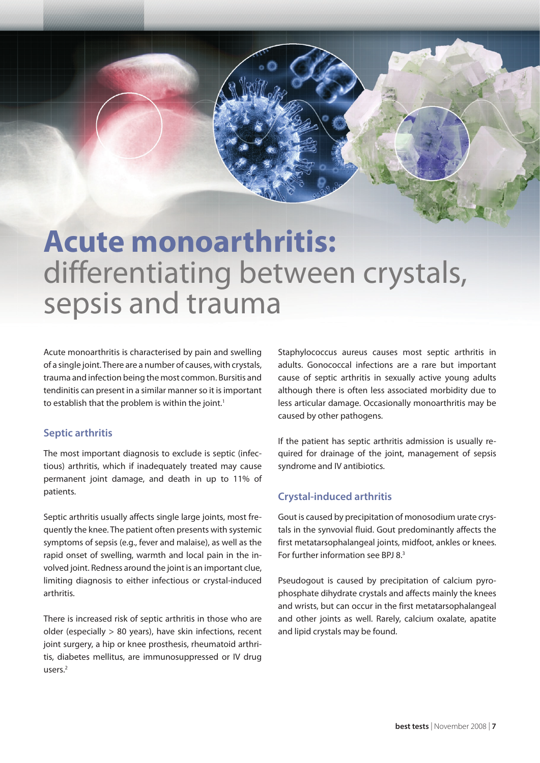# **Acute monoarthritis:** differentiating between crystals, sepsis and trauma

Acute monoarthritis is characterised by pain and swelling of a single joint. There are a number of causes, with crystals, trauma and infection being the most common. Bursitis and tendinitis can present in a similar manner so it is important to establish that the problem is within the joint.<sup>1</sup>

## **Septic arthritis**

The most important diagnosis to exclude is septic (infectious) arthritis, which if inadequately treated may cause permanent joint damage, and death in up to 11% of patients.

Septic arthritis usually affects single large joints, most frequently the knee. The patient often presents with systemic symptoms of sepsis (e.g., fever and malaise), as well as the rapid onset of swelling, warmth and local pain in the involved joint. Redness around the joint is an important clue, limiting diagnosis to either infectious or crystal-induced arthritis.

There is increased risk of septic arthritis in those who are older (especially > 80 years), have skin infections, recent joint surgery, a hip or knee prosthesis, rheumatoid arthritis, diabetes mellitus, are immunosuppressed or IV drug users.2

Staphylococcus aureus causes most septic arthritis in adults. Gonococcal infections are a rare but important cause of septic arthritis in sexually active young adults although there is often less associated morbidity due to less articular damage. Occasionally monoarthritis may be caused by other pathogens.

If the patient has septic arthritis admission is usually required for drainage of the joint, management of sepsis syndrome and IV antibiotics.

## **Crystal-induced arthritis**

Gout is caused by precipitation of monosodium urate crystals in the synvovial fluid. Gout predominantly affects the first metatarsophalangeal joints, midfoot, ankles or knees. For further information see BPJ 8.3

Pseudogout is caused by precipitation of calcium pyrophosphate dihydrate crystals and affects mainly the knees and wrists, but can occur in the first metatarsophalangeal and other joints as well. Rarely, calcium oxalate, apatite and lipid crystals may be found.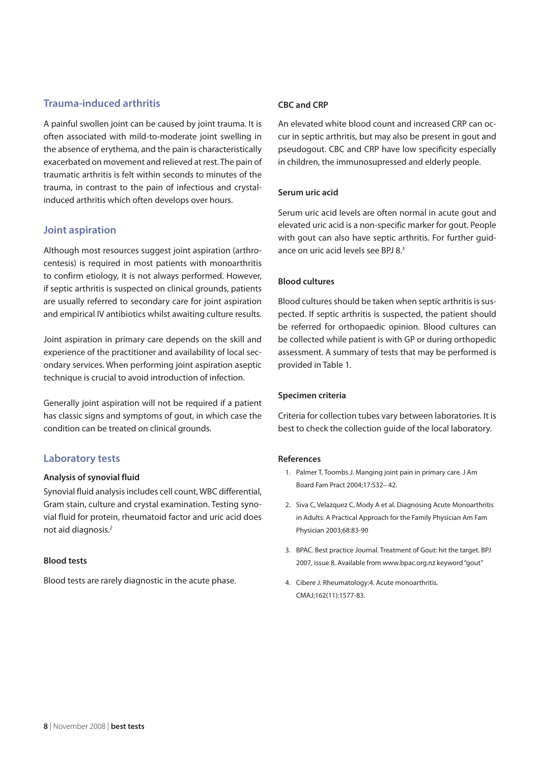## **Trauma-induced arthritis**

A painful swollen joint can be caused by joint trauma. It is often associated with mild-to-moderate joint swelling in the absence of erythema, and the pain is characteristically exacerbated on movement and relieved at rest. The pain of traumatic arthritis is felt within seconds to minutes of the trauma, in contrast to the pain of infectious and crystalinduced arthritis which often develops over hours.

## **Joint aspiration**

Although most resources suggest joint aspiration (arthrocentesis) is required in most patients with monoarthritis to confirm etiology, it is not always performed. However, if septic arthritis is suspected on clinical grounds, patients are usually referred to secondary care for joint aspiration and empirical IV antibiotics whilst awaiting culture results.

Joint aspiration in primary care depends on the skill and experience of the practitioner and availability of local secondary services. When performing joint aspiration aseptic technique is crucial to avoid introduction of infection.

Generally joint aspiration will not be required if a patient has classic signs and symptoms of gout, in which case the condition can be treated on clinical grounds.

## **Laboratory tests**

## **Analysis of synovial fluid**

Synovial fluid analysis includes cell count, WBC differential, Gram stain, culture and crystal examination. Testing synovial fluid for protein, rheumatoid factor and uric acid does not aid diagnosis.2

#### **Blood tests**

Blood tests are rarely diagnostic in the acute phase.

#### **CBC and CRP**

An elevated white blood count and increased CRP can occur in septic arthritis, but may also be present in gout and pseudogout. CBC and CRP have low specificity especially in children, the immunosupressed and elderly people.

## **Serum uric acid**

Serum uric acid levels are often normal in acute gout and elevated uric acid is a non-specific marker for gout. People with gout can also have septic arthritis. For further guidance on uric acid levels see BPJ 8.3

#### **Blood cultures**

Blood cultures should be taken when septic arthritis is suspected. If septic arthritis is suspected, the patient should be referred for orthopaedic opinion. Blood cultures can be collected while patient is with GP or during orthopedic assessment. A summary of tests that may be performed is provided in Table 1.

## **Specimen criteria**

Criteria for collection tubes vary between laboratories. It is best to check the collection guide of the local laboratory.

#### **References**

- 1. Palmer T, Toombs J. Manging joint pain in primary care. J Am Board Fam Pract 2004;17:S32– 42.
- 2. Siva C, Velazquez C, Mody A et al. Diagnosing Acute Monoarthritis in Adults: A Practical Approach for the Family Physician Am Fam Physician 2003;68:83-90
- 3. BPAC. Best practice Journal. Treatment of Gout: hit the target. BPJ 2007, issue 8. Available from www.bpac.org.nz keyword "gout"
- 4. Cibere J. Rheumatology:4. Acute monoarthritis. CMAJ;162(11):1577-83.